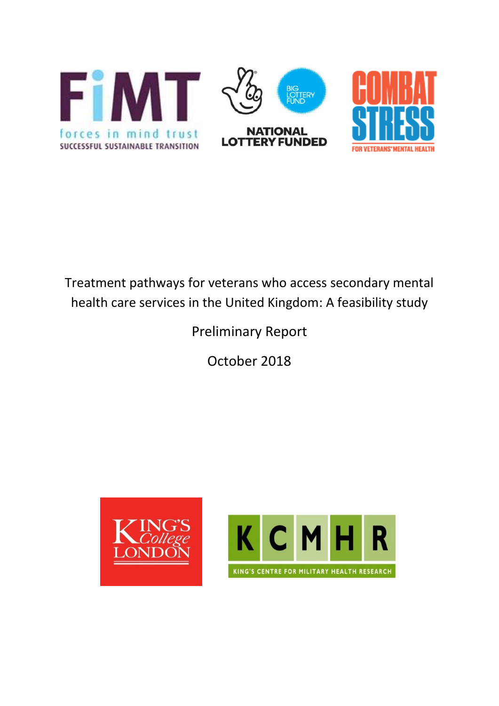

# Treatment pathways for veterans who access secondary mental health care services in the United Kingdom: A feasibility study

# Preliminary Report

October 2018



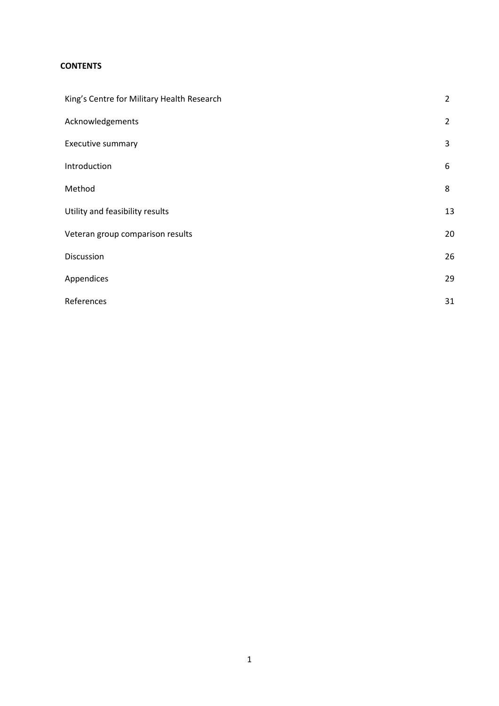# **CONTENTS**

| King's Centre for Military Health Research | $\overline{2}$ |
|--------------------------------------------|----------------|
| Acknowledgements                           | $\overline{2}$ |
| Executive summary                          | 3              |
| Introduction                               | 6              |
| Method                                     | 8              |
| Utility and feasibility results            | 13             |
| Veteran group comparison results           | 20             |
| Discussion                                 | 26             |
| Appendices                                 | 29             |
| References                                 | 31             |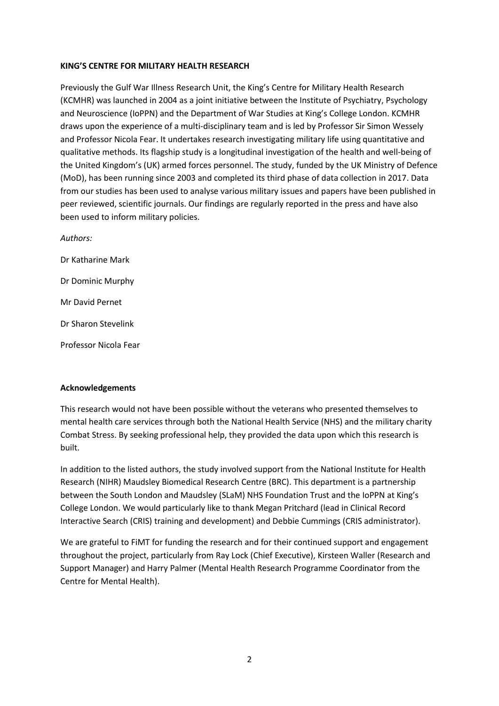#### **KING'S CENTRE FOR MILITARY HEALTH RESEARCH**

Previously the Gulf War Illness Research Unit, the King's Centre for Military Health Research (KCMHR) was launched in 2004 as a joint initiative between the Institute of Psychiatry, Psychology and Neuroscience (IoPPN) and the Department of War Studies at King's College London. KCMHR draws upon the experience of a multi-disciplinary team and is led by Professor Sir Simon Wessely and Professor Nicola Fear. It undertakes research investigating military life using quantitative and qualitative methods. Its flagship study is a longitudinal investigation of the health and well-being of the United Kingdom's (UK) armed forces personnel. The study, funded by the UK Ministry of Defence (MoD), has been running since 2003 and completed its third phase of data collection in 2017. Data from our studies has been used to analyse various military issues and papers have been published in peer reviewed, scientific journals. Our findings are regularly reported in the press and have also been used to inform military policies.

*Authors:* Dr Katharine Mark Dr Dominic Murphy Mr David Pernet Dr Sharon Stevelink Professor Nicola Fear

#### **Acknowledgements**

This research would not have been possible without the veterans who presented themselves to mental health care services through both the National Health Service (NHS) and the military charity Combat Stress. By seeking professional help, they provided the data upon which this research is built.

In addition to the listed authors, the study involved support from the National Institute for Health Research (NIHR) Maudsley Biomedical Research Centre (BRC). This department is a partnership between the South London and Maudsley (SLaM) NHS Foundation Trust and the IoPPN at King's College London. We would particularly like to thank Megan Pritchard (lead in Clinical Record Interactive Search (CRIS) training and development) and Debbie Cummings (CRIS administrator).

We are grateful to FiMT for funding the research and for their continued support and engagement throughout the project, particularly from Ray Lock (Chief Executive), Kirsteen Waller (Research and Support Manager) and Harry Palmer (Mental Health Research Programme Coordinator from the Centre for Mental Health).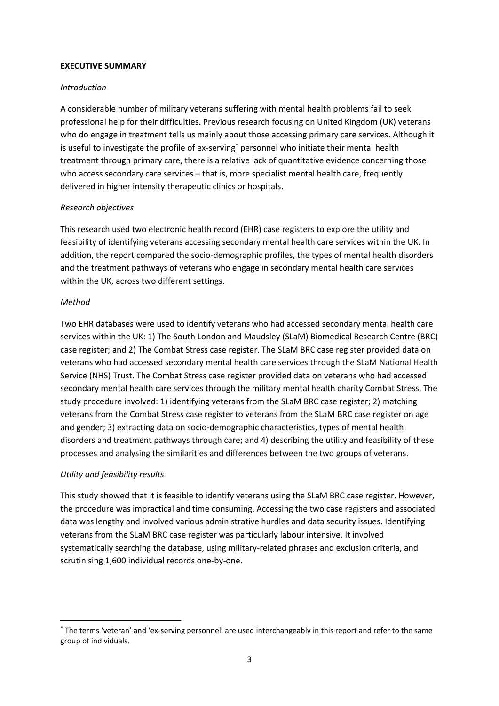#### **EXECUTIVE SUMMARY**

#### *Introduction*

A considerable number of military veterans suffering with mental health problems fail to seek professional help for their difficulties. Previous research focusing on United Kingdom (UK) veterans who do engage in treatment tells us mainly about those accessing primary care services. Although it is useful to investigate the profile of ex-serving\* personnel who initiate their mental health treatment through primary care, there is a relative lack of quantitative evidence concerning those who access secondary care services – that is, more specialist mental health care, frequently delivered in higher intensity therapeutic clinics or hospitals.

#### *Research objectives*

This research used two electronic health record (EHR) case registers to explore the utility and feasibility of identifying veterans accessing secondary mental health care services within the UK. In addition, the report compared the socio-demographic profiles, the types of mental health disorders and the treatment pathways of veterans who engage in secondary mental health care services within the UK, across two different settings.

#### *Method*

 $\overline{a}$ 

Two EHR databases were used to identify veterans who had accessed secondary mental health care services within the UK: 1) The South London and Maudsley (SLaM) Biomedical Research Centre (BRC) case register; and 2) The Combat Stress case register. The SLaM BRC case register provided data on veterans who had accessed secondary mental health care services through the SLaM National Health Service (NHS) Trust. The Combat Stress case register provided data on veterans who had accessed secondary mental health care services through the military mental health charity Combat Stress. The study procedure involved: 1) identifying veterans from the SLaM BRC case register; 2) matching veterans from the Combat Stress case register to veterans from the SLaM BRC case register on age and gender; 3) extracting data on socio-demographic characteristics, types of mental health disorders and treatment pathways through care; and 4) describing the utility and feasibility of these processes and analysing the similarities and differences between the two groups of veterans.

#### *Utility and feasibility results*

This study showed that it is feasible to identify veterans using the SLaM BRC case register. However, the procedure was impractical and time consuming. Accessing the two case registers and associated data was lengthy and involved various administrative hurdles and data security issues. Identifying veterans from the SLaM BRC case register was particularly labour intensive. It involved systematically searching the database, using military-related phrases and exclusion criteria, and scrutinising 1,600 individual records one-by-one.

<sup>\*</sup> The terms 'veteran' and 'ex-serving personnel' are used interchangeably in this report and refer to the same group of individuals.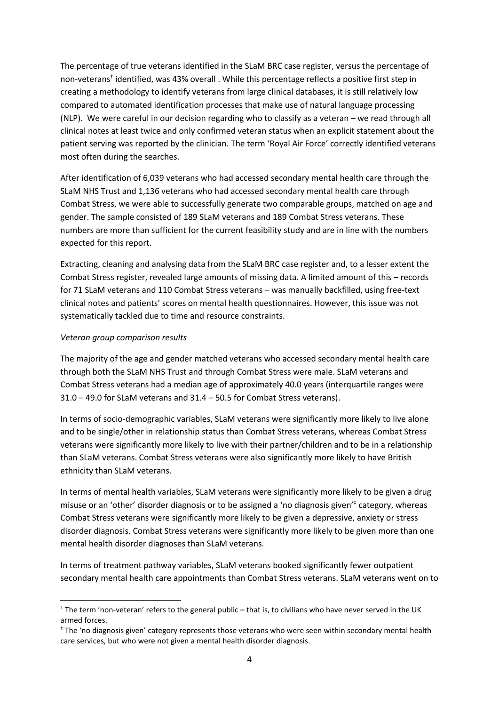The percentage of true veterans identified in the SLaM BRC case register, versus the percentage of non-veterans<sup>†</sup> identified, was 43% overall . While this percentage reflects a positive first step in creating a methodology to identify veterans from large clinical databases, it is still relatively low compared to automated identification processes that make use of natural language processing (NLP). We were careful in our decision regarding who to classify as a veteran – we read through all clinical notes at least twice and only confirmed veteran status when an explicit statement about the patient serving was reported by the clinician. The term 'Royal Air Force' correctly identified veterans most often during the searches.

After identification of 6,039 veterans who had accessed secondary mental health care through the SLaM NHS Trust and 1,136 veterans who had accessed secondary mental health care through Combat Stress, we were able to successfully generate two comparable groups, matched on age and gender. The sample consisted of 189 SLaM veterans and 189 Combat Stress veterans. These numbers are more than sufficient for the current feasibility study and are in line with the numbers expected for this report.

Extracting, cleaning and analysing data from the SLaM BRC case register and, to a lesser extent the Combat Stress register, revealed large amounts of missing data. A limited amount of this – records for 71 SLaM veterans and 110 Combat Stress veterans – was manually backfilled, using free-text clinical notes and patients' scores on mental health questionnaires. However, this issue was not systematically tackled due to time and resource constraints.

#### *Veteran group comparison results*

1

The majority of the age and gender matched veterans who accessed secondary mental health care through both the SLaM NHS Trust and through Combat Stress were male. SLaM veterans and Combat Stress veterans had a median age of approximately 40.0 years (interquartile ranges were 31.0 – 49.0 for SLaM veterans and 31.4 – 50.5 for Combat Stress veterans).

In terms of socio-demographic variables, SLaM veterans were significantly more likely to live alone and to be single/other in relationship status than Combat Stress veterans, whereas Combat Stress veterans were significantly more likely to live with their partner/children and to be in a relationship than SLaM veterans. Combat Stress veterans were also significantly more likely to have British ethnicity than SLaM veterans.

In terms of mental health variables, SLaM veterans were significantly more likely to be given a drug misuse or an 'other' disorder diagnosis or to be assigned a 'no diagnosis given'‡ category, whereas Combat Stress veterans were significantly more likely to be given a depressive, anxiety or stress disorder diagnosis. Combat Stress veterans were significantly more likely to be given more than one mental health disorder diagnoses than SLaM veterans.

In terms of treatment pathway variables, SLaM veterans booked significantly fewer outpatient secondary mental health care appointments than Combat Stress veterans. SLaM veterans went on to

<sup>†</sup> The term 'non-veteran' refers to the general public – that is, to civilians who have never served in the UK armed forces.

<sup>‡</sup> The 'no diagnosis given' category represents those veterans who were seen within secondary mental health care services, but who were not given a mental health disorder diagnosis.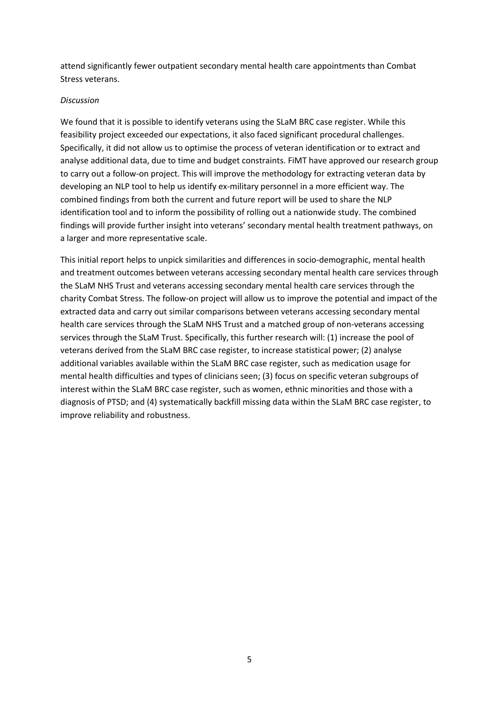attend significantly fewer outpatient secondary mental health care appointments than Combat Stress veterans.

#### *Discussion*

We found that it is possible to identify veterans using the SLaM BRC case register. While this feasibility project exceeded our expectations, it also faced significant procedural challenges. Specifically, it did not allow us to optimise the process of veteran identification or to extract and analyse additional data, due to time and budget constraints. FiMT have approved our research group to carry out a follow-on project. This will improve the methodology for extracting veteran data by developing an NLP tool to help us identify ex-military personnel in a more efficient way. The combined findings from both the current and future report will be used to share the NLP identification tool and to inform the possibility of rolling out a nationwide study. The combined findings will provide further insight into veterans' secondary mental health treatment pathways, on a larger and more representative scale.

This initial report helps to unpick similarities and differences in socio-demographic, mental health and treatment outcomes between veterans accessing secondary mental health care services through the SLaM NHS Trust and veterans accessing secondary mental health care services through the charity Combat Stress. The follow-on project will allow us to improve the potential and impact of the extracted data and carry out similar comparisons between veterans accessing secondary mental health care services through the SLaM NHS Trust and a matched group of non-veterans accessing services through the SLaM Trust. Specifically, this further research will: (1) increase the pool of veterans derived from the SLaM BRC case register, to increase statistical power; (2) analyse additional variables available within the SLaM BRC case register, such as medication usage for mental health difficulties and types of clinicians seen; (3) focus on specific veteran subgroups of interest within the SLaM BRC case register, such as women, ethnic minorities and those with a diagnosis of PTSD; and (4) systematically backfill missing data within the SLaM BRC case register, to improve reliability and robustness.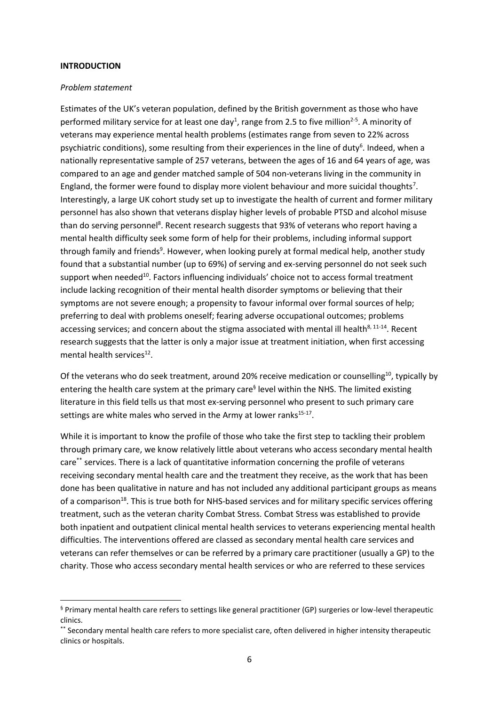#### **INTRODUCTION**

1

#### *Problem statement*

Estimates of the UK's veteran population, defined by the British government as those who have performed military service for at least one day<sup>1</sup>, range from 2.5 to five million<sup>2-5</sup>. A minority of veterans may experience mental health problems (estimates range from seven to 22% across psychiatric conditions), some resulting from their experiences in the line of duty<sup>6</sup>. Indeed, when a nationally representative sample of 257 veterans, between the ages of 16 and 64 years of age, was compared to an age and gender matched sample of 504 non-veterans living in the community in England, the former were found to display more violent behaviour and more suicidal thoughts<sup>7</sup>. Interestingly, a large UK cohort study set up to investigate the health of current and former military personnel has also shown that veterans display higher levels of probable PTSD and alcohol misuse than do serving personnel<sup>8</sup>. Recent research suggests that 93% of veterans who report having a mental health difficulty seek some form of help for their problems, including informal support through family and friends<sup>9</sup>. However, when looking purely at formal medical help, another study found that a substantial number (up to 69%) of serving and ex-serving personnel do not seek such support when needed<sup>10</sup>. Factors influencing individuals' choice not to access formal treatment include lacking recognition of their mental health disorder symptoms or believing that their symptoms are not severe enough; a propensity to favour informal over formal sources of help; preferring to deal with problems oneself; fearing adverse occupational outcomes; problems accessing services; and concern about the stigma associated with mental ill health<sup>8, 11-14</sup>. Recent research suggests that the latter is only a major issue at treatment initiation, when first accessing mental health services<sup>12</sup>.

Of the veterans who do seek treatment, around 20% receive medication or counselling<sup>10</sup>, typically by entering the health care system at the primary care<sup>§</sup> level within the NHS. The limited existing literature in this field tells us that most ex-serving personnel who present to such primary care settings are white males who served in the Army at lower ranks<sup>15-17</sup>.

While it is important to know the profile of those who take the first step to tackling their problem through primary care, we know relatively little about veterans who access secondary mental health care\*\* services. There is a lack of quantitative information concerning the profile of veterans receiving secondary mental health care and the treatment they receive, as the work that has been done has been qualitative in nature and has not included any additional participant groups as means of a comparison<sup>18</sup>. This is true both for NHS-based services and for military specific services offering treatment, such as the veteran charity Combat Stress. Combat Stress was established to provide both inpatient and outpatient clinical mental health services to veterans experiencing mental health difficulties. The interventions offered are classed as secondary mental health care services and veterans can refer themselves or can be referred by a primary care practitioner (usually a GP) to the charity. Those who access secondary mental health services or who are referred to these services

<sup>§</sup> Primary mental health care refers to settings like general practitioner (GP) surgeries or low-level therapeutic clinics.

<sup>\*\*</sup> Secondary mental health care refers to more specialist care, often delivered in higher intensity therapeutic clinics or hospitals.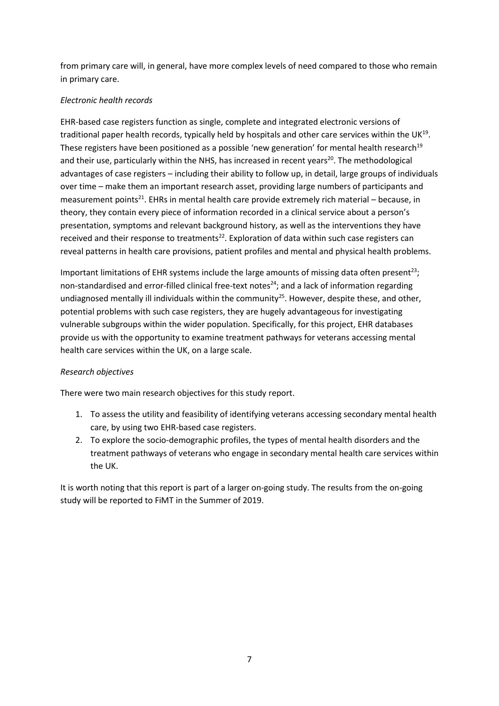from primary care will, in general, have more complex levels of need compared to those who remain in primary care.

# *Electronic health records*

EHR-based case registers function as single, complete and integrated electronic versions of traditional paper health records, typically held by hospitals and other care services within the UK $^{19}$ . These registers have been positioned as a possible 'new generation' for mental health research<sup>19</sup> and their use, particularly within the NHS, has increased in recent years<sup>20</sup>. The methodological advantages of case registers – including their ability to follow up, in detail, large groups of individuals over time – make them an important research asset, providing large numbers of participants and measurement points<sup>21</sup>. EHRs in mental health care provide extremely rich material - because, in theory, they contain every piece of information recorded in a clinical service about a person's presentation, symptoms and relevant background history, as well as the interventions they have received and their response to treatments<sup>22</sup>. Exploration of data within such case registers can reveal patterns in health care provisions, patient profiles and mental and physical health problems.

Important limitations of EHR systems include the large amounts of missing data often present<sup>23</sup>; non-standardised and error-filled clinical free-text notes<sup>24</sup>; and a lack of information regarding undiagnosed mentally ill individuals within the community<sup>25</sup>. However, despite these, and other, potential problems with such case registers, they are hugely advantageous for investigating vulnerable subgroups within the wider population. Specifically, for this project, EHR databases provide us with the opportunity to examine treatment pathways for veterans accessing mental health care services within the UK, on a large scale.

# *Research objectives*

There were two main research objectives for this study report.

- 1. To assess the utility and feasibility of identifying veterans accessing secondary mental health care, by using two EHR-based case registers.
- 2. To explore the socio-demographic profiles, the types of mental health disorders and the treatment pathways of veterans who engage in secondary mental health care services within the UK.

It is worth noting that this report is part of a larger on-going study. The results from the on-going study will be reported to FiMT in the Summer of 2019.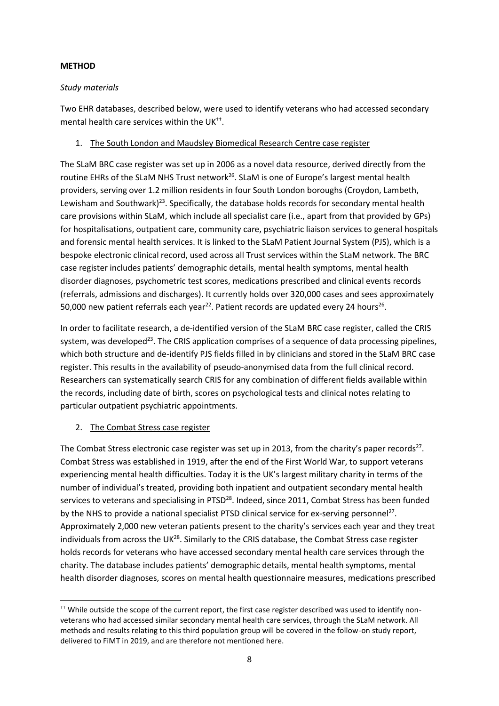# **METHOD**

#### *Study materials*

Two EHR databases, described below, were used to identify veterans who had accessed secondary mental health care services within the UK<sup>++</sup>.

#### 1. The South London and Maudsley Biomedical Research Centre case register

The SLaM BRC case register was set up in 2006 as a novel data resource, derived directly from the routine EHRs of the SLaM NHS Trust network<sup>26</sup>. SLaM is one of Europe's largest mental health providers, serving over 1.2 million residents in four South London boroughs (Croydon, Lambeth, Lewisham and Southwark)<sup>23</sup>. Specifically, the database holds records for secondary mental health care provisions within SLaM, which include all specialist care (i.e., apart from that provided by GPs) for hospitalisations, outpatient care, community care, psychiatric liaison services to general hospitals and forensic mental health services. It is linked to the SLaM Patient Journal System (PJS), which is a bespoke electronic clinical record, used across all Trust services within the SLaM network. The BRC case register includes patients' demographic details, mental health symptoms, mental health disorder diagnoses, psychometric test scores, medications prescribed and clinical events records (referrals, admissions and discharges). It currently holds over 320,000 cases and sees approximately 50,000 new patient referrals each year<sup>22</sup>. Patient records are updated every 24 hours<sup>26</sup>.

In order to facilitate research, a de-identified version of the SLaM BRC case register, called the CRIS system, was developed<sup>23</sup>. The CRIS application comprises of a sequence of data processing pipelines, which both structure and de-identify PJS fields filled in by clinicians and stored in the SLaM BRC case register. This results in the availability of pseudo-anonymised data from the full clinical record. Researchers can systematically search CRIS for any combination of different fields available within the records, including date of birth, scores on psychological tests and clinical notes relating to particular outpatient psychiatric appointments.

# 2. The Combat Stress case register

1

The Combat Stress electronic case register was set up in 2013, from the charity's paper records<sup>27</sup>. Combat Stress was established in 1919, after the end of the First World War, to support veterans experiencing mental health difficulties. Today it is the UK's largest military charity in terms of the number of individual's treated, providing both inpatient and outpatient secondary mental health services to veterans and specialising in PTSD<sup>28</sup>. Indeed, since 2011, Combat Stress has been funded by the NHS to provide a national specialist PTSD clinical service for ex-serving personnel<sup>27</sup>. Approximately 2,000 new veteran patients present to the charity's services each year and they treat individuals from across the UK<sup>28</sup>. Similarly to the CRIS database, the Combat Stress case register holds records for veterans who have accessed secondary mental health care services through the charity. The database includes patients' demographic details, mental health symptoms, mental health disorder diagnoses, scores on mental health questionnaire measures, medications prescribed

<sup>&</sup>lt;sup>††</sup> While outside the scope of the current report, the first case register described was used to identify nonveterans who had accessed similar secondary mental health care services, through the SLaM network. All methods and results relating to this third population group will be covered in the follow-on study report, delivered to FiMT in 2019, and are therefore not mentioned here.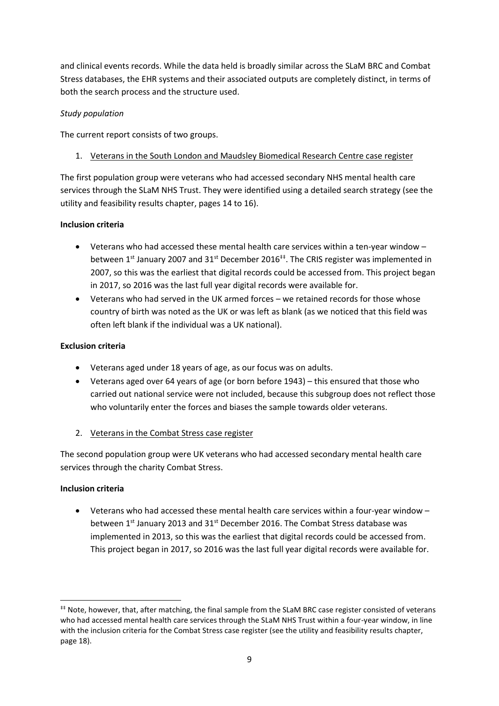and clinical events records. While the data held is broadly similar across the SLaM BRC and Combat Stress databases, the EHR systems and their associated outputs are completely distinct, in terms of both the search process and the structure used.

# *Study population*

The current report consists of two groups.

# 1. Veterans in the South London and Maudsley Biomedical Research Centre case register

The first population group were veterans who had accessed secondary NHS mental health care services through the SLaM NHS Trust. They were identified using a detailed search strategy (see the utility and feasibility results chapter, pages 14 to 16).

# **Inclusion criteria**

- Veterans who had accessed these mental health care services within a ten-year window between  $1^{st}$  January 2007 and  $31^{st}$  December 2016<sup>‡‡</sup>. The CRIS register was implemented in 2007, so this was the earliest that digital records could be accessed from. This project began in 2017, so 2016 was the last full year digital records were available for.
- Veterans who had served in the UK armed forces we retained records for those whose country of birth was noted as the UK or was left as blank (as we noticed that this field was often left blank if the individual was a UK national).

# **Exclusion criteria**

- Veterans aged under 18 years of age, as our focus was on adults.
- Veterans aged over 64 years of age (or born before 1943) this ensured that those who carried out national service were not included, because this subgroup does not reflect those who voluntarily enter the forces and biases the sample towards older veterans.
- 2. Veterans in the Combat Stress case register

The second population group were UK veterans who had accessed secondary mental health care services through the charity Combat Stress.

# **Inclusion criteria**

1

• Veterans who had accessed these mental health care services within a four-year window – between 1<sup>st</sup> January 2013 and 31<sup>st</sup> December 2016. The Combat Stress database was implemented in 2013, so this was the earliest that digital records could be accessed from. This project began in 2017, so 2016 was the last full year digital records were available for.

<sup>‡‡</sup> Note, however, that, after matching, the final sample from the SLaM BRC case register consisted of veterans who had accessed mental health care services through the SLaM NHS Trust within a four-year window, in line with the inclusion criteria for the Combat Stress case register (see the utility and feasibility results chapter, page 18).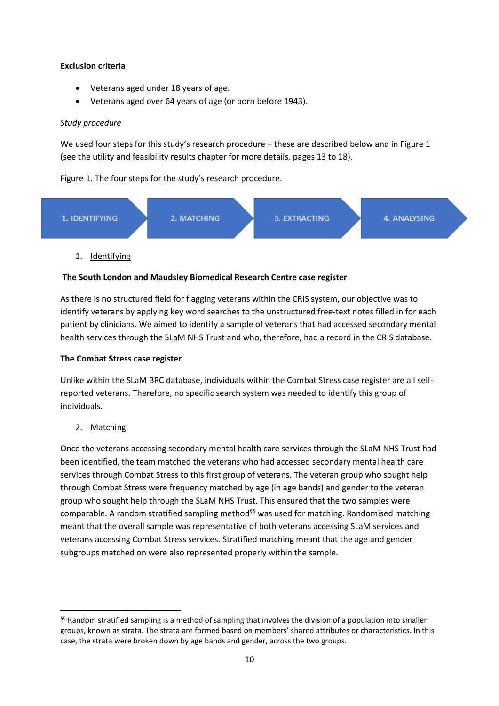# **Exclusion criteria**

- Veterans aged under 18 years of age.
- Veterans aged over 64 years of age (or born before 1943).

# *Study procedure*

We used four steps for this study's research procedure – these are described below and in Figure 1 (see the utility and feasibility results chapter for more details, pages 13 to 18).

# Figure 1. The four steps for the study's research procedure.



# 1. Identifying

# **The South London and Maudsley Biomedical Research Centre case register**

As there is no structured field for flagging veterans within the CRIS system, our objective was to identify veterans by applying key word searches to the unstructured free-text notes filled in for each patient by clinicians. We aimed to identify a sample of veterans that had accessed secondary mental health services through the SLaM NHS Trust and who, therefore, had a record in the CRIS database.

# **The Combat Stress case register**

Unlike within the SLaM BRC database, individuals within the Combat Stress case register are all selfreported veterans. Therefore, no specific search system was needed to identify this group of individuals.

2. Matching

**.** 

Once the veterans accessing secondary mental health care services through the SLaM NHS Trust had been identified, the team matched the veterans who had accessed secondary mental health care services through Combat Stress to this first group of veterans. The veteran group who sought help through Combat Stress were frequency matched by age (in age bands) and gender to the veteran group who sought help through the SLaM NHS Trust. This ensured that the two samples were comparable. A random stratified sampling method<sup>§§</sup> was used for matching. Randomised matching meant that the overall sample was representative of both veterans accessing SLaM services and veterans accessing Combat Stress services. Stratified matching meant that the age and gender subgroups matched on were also represented properly within the sample.

<sup>§§</sup> Random stratified sampling is a method of sampling that involves the division of a population into smaller groups, known as strata. The strata are formed based on members' shared attributes or characteristics. In this case, the strata were broken down by age bands and gender, across the two groups.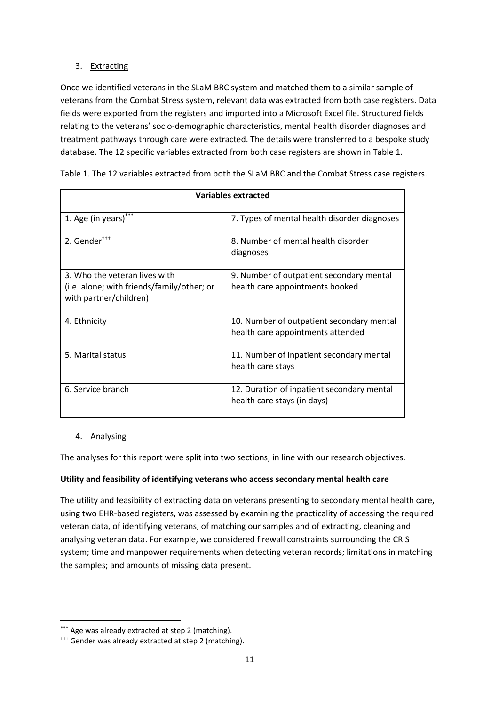# 3. Extracting

Once we identified veterans in the SLaM BRC system and matched them to a similar sample of veterans from the Combat Stress system, relevant data was extracted from both case registers. Data fields were exported from the registers and imported into a Microsoft Excel file. Structured fields relating to the veterans' socio-demographic characteristics, mental health disorder diagnoses and treatment pathways through care were extracted. The details were transferred to a bespoke study database. The 12 specific variables extracted from both case registers are shown in Table 1.

| <b>Variables extracted</b>                                                                            |                                                                                |  |
|-------------------------------------------------------------------------------------------------------|--------------------------------------------------------------------------------|--|
| 1. Age (in years)***                                                                                  | 7. Types of mental health disorder diagnoses                                   |  |
| 2. Gender***                                                                                          | 8. Number of mental health disorder<br>diagnoses                               |  |
| 3. Who the veteran lives with<br>(i.e. alone; with friends/family/other; or<br>with partner/children) | 9. Number of outpatient secondary mental<br>health care appointments booked    |  |
| 4. Ethnicity                                                                                          | 10. Number of outpatient secondary mental<br>health care appointments attended |  |
| 5. Marital status                                                                                     | 11. Number of inpatient secondary mental<br>health care stays                  |  |
| 6. Service branch                                                                                     | 12. Duration of inpatient secondary mental<br>health care stays (in days)      |  |

Table 1. The 12 variables extracted from both the SLaM BRC and the Combat Stress case registers.

# 4. Analysing

The analyses for this report were split into two sections, in line with our research objectives.

# **Utility and feasibility of identifying veterans who access secondary mental health care**

The utility and feasibility of extracting data on veterans presenting to secondary mental health care, using two EHR-based registers, was assessed by examining the practicality of accessing the required veteran data, of identifying veterans, of matching our samples and of extracting, cleaning and analysing veteran data. For example, we considered firewall constraints surrounding the CRIS system; time and manpower requirements when detecting veteran records; limitations in matching the samples; and amounts of missing data present.

 $\overline{a}$ \*\*\* Age was already extracted at step 2 (matching).

<sup>†††</sup> Gender was already extracted at step 2 (matching).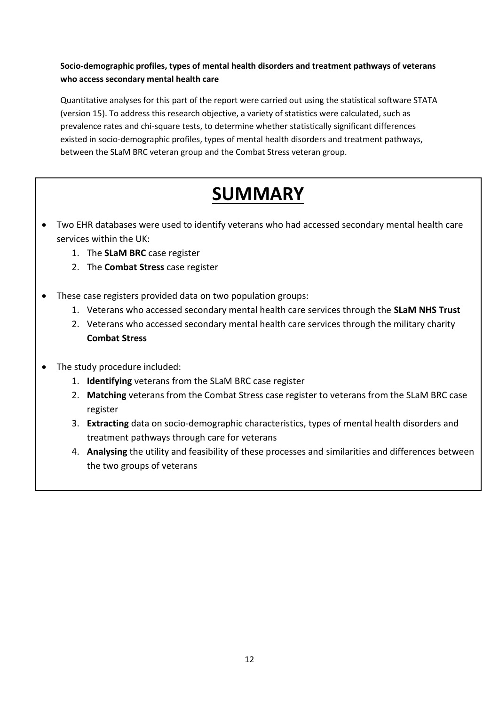# **Socio-demographic profiles, types of mental health disorders and treatment pathways of veterans who access secondary mental health care**

Quantitative analyses for this part of the report were carried out using the statistical software STATA (version 15). To address this research objective, a variety of statistics were calculated, such as prevalence rates and chi-square tests, to determine whether statistically significant differences existed in socio-demographic profiles, types of mental health disorders and treatment pathways, between the SLaM BRC veteran group and the Combat Stress veteran group.

# **SUMMARY**

- Two EHR databases were used to identify veterans who had accessed secondary mental health care services within the UK:
	- 1. The **SLaM BRC** case register
	- 2. The **Combat Stress** case register
- These case registers provided data on two population groups:
	- 1. Veterans who accessed secondary mental health care services through the **SLaM NHS Trust**
	- 2. Veterans who accessed secondary mental health care services through the military charity **Combat Stress**
- The study procedure included:
	- 1. **Identifying** veterans from the SLaM BRC case register
	- 2. **Matching** veterans from the Combat Stress case register to veterans from the SLaM BRC case register
	- 3. **Extracting** data on socio-demographic characteristics, types of mental health disorders and treatment pathways through care for veterans
	- 4. **Analysing** the utility and feasibility of these processes and similarities and differences between the two groups of veterans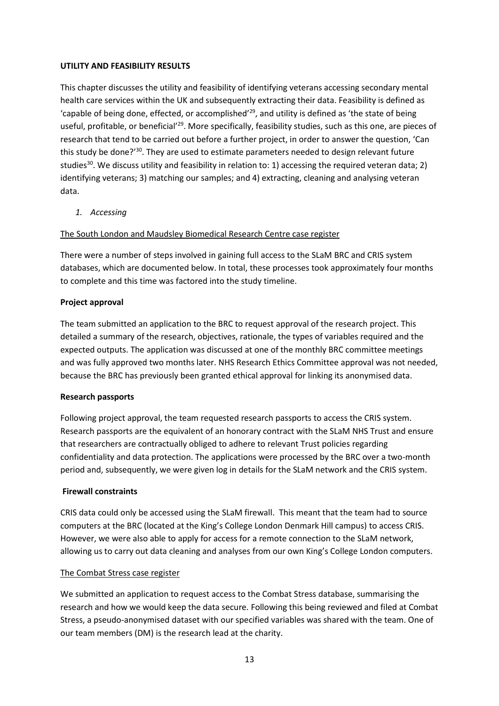#### **UTILITY AND FEASIBILITY RESULTS**

This chapter discusses the utility and feasibility of identifying veterans accessing secondary mental health care services within the UK and subsequently extracting their data. Feasibility is defined as 'capable of being done, effected, or accomplished'<sup>29</sup> , and utility is defined as 'the state of being useful, profitable, or beneficial<sup>'29</sup>. More specifically, feasibility studies, such as this one, are pieces of research that tend to be carried out before a further project, in order to answer the question, 'Can this study be done?'<sup>30</sup>. They are used to estimate parameters needed to design relevant future studies<sup>30</sup>. We discuss utility and feasibility in relation to: 1) accessing the required veteran data; 2) identifying veterans; 3) matching our samples; and 4) extracting, cleaning and analysing veteran data.

*1. Accessing*

The South London and Maudsley Biomedical Research Centre case register

There were a number of steps involved in gaining full access to the SLaM BRC and CRIS system databases, which are documented below. In total, these processes took approximately four months to complete and this time was factored into the study timeline.

# **Project approval**

The team submitted an application to the BRC to request approval of the research project. This detailed a summary of the research, objectives, rationale, the types of variables required and the expected outputs. The application was discussed at one of the monthly BRC committee meetings and was fully approved two months later. NHS Research Ethics Committee approval was not needed, because the BRC has previously been granted ethical approval for linking its anonymised data.

# **Research passports**

Following project approval, the team requested research passports to access the CRIS system. Research passports are the equivalent of an honorary contract with the SLaM NHS Trust and ensure that researchers are contractually obliged to adhere to relevant Trust policies regarding confidentiality and data protection. The applications were processed by the BRC over a two-month period and, subsequently, we were given log in details for the SLaM network and the CRIS system.

# **Firewall constraints**

CRIS data could only be accessed using the SLaM firewall. This meant that the team had to source computers at the BRC (located at the King's College London Denmark Hill campus) to access CRIS. However, we were also able to apply for access for a remote connection to the SLaM network, allowing us to carry out data cleaning and analyses from our own King's College London computers.

# The Combat Stress case register

We submitted an application to request access to the Combat Stress database, summarising the research and how we would keep the data secure. Following this being reviewed and filed at Combat Stress, a pseudo-anonymised dataset with our specified variables was shared with the team. One of our team members (DM) is the research lead at the charity.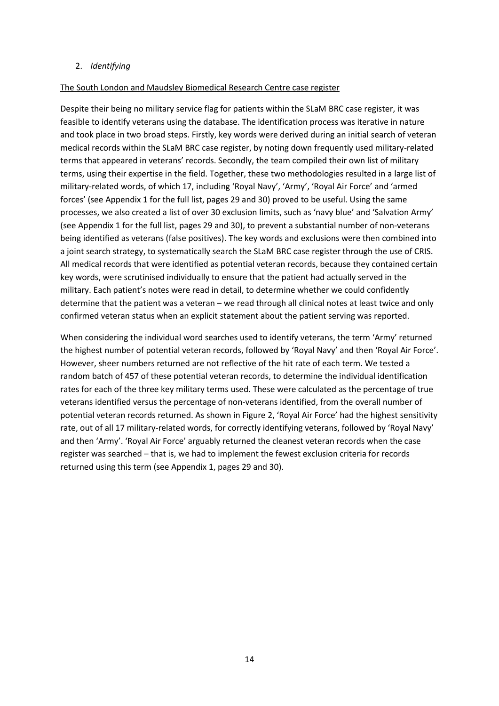#### 2. *Identifying*

#### The South London and Maudsley Biomedical Research Centre case register

Despite their being no military service flag for patients within the SLaM BRC case register, it was feasible to identify veterans using the database. The identification process was iterative in nature and took place in two broad steps. Firstly, key words were derived during an initial search of veteran medical records within the SLaM BRC case register, by noting down frequently used military-related terms that appeared in veterans' records. Secondly, the team compiled their own list of military terms, using their expertise in the field. Together, these two methodologies resulted in a large list of military-related words, of which 17, including 'Royal Navy', 'Army', 'Royal Air Force' and 'armed forces' (see Appendix 1 for the full list, pages 29 and 30) proved to be useful. Using the same processes, we also created a list of over 30 exclusion limits, such as 'navy blue' and 'Salvation Army' (see Appendix 1 for the full list, pages 29 and 30), to prevent a substantial number of non-veterans being identified as veterans (false positives). The key words and exclusions were then combined into a joint search strategy, to systematically search the SLaM BRC case register through the use of CRIS. All medical records that were identified as potential veteran records, because they contained certain key words, were scrutinised individually to ensure that the patient had actually served in the military. Each patient's notes were read in detail, to determine whether we could confidently determine that the patient was a veteran – we read through all clinical notes at least twice and only confirmed veteran status when an explicit statement about the patient serving was reported.

When considering the individual word searches used to identify veterans, the term 'Army' returned the highest number of potential veteran records, followed by 'Royal Navy' and then 'Royal Air Force'. However, sheer numbers returned are not reflective of the hit rate of each term. We tested a random batch of 457 of these potential veteran records, to determine the individual identification rates for each of the three key military terms used. These were calculated as the percentage of true veterans identified versus the percentage of non-veterans identified, from the overall number of potential veteran records returned. As shown in Figure 2, 'Royal Air Force' had the highest sensitivity rate, out of all 17 military-related words, for correctly identifying veterans, followed by 'Royal Navy' and then 'Army'. 'Royal Air Force' arguably returned the cleanest veteran records when the case register was searched – that is, we had to implement the fewest exclusion criteria for records returned using this term (see Appendix 1, pages 29 and 30).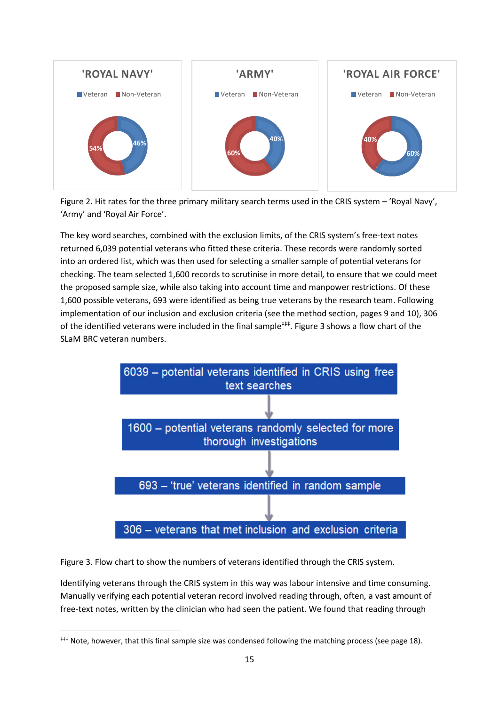

Figure 2. Hit rates for the three primary military search terms used in the CRIS system – 'Royal Navy', 'Army' and 'Royal Air Force'.

The key word searches, combined with the exclusion limits, of the CRIS system's free-text notes returned 6,039 potential veterans who fitted these criteria. These records were randomly sorted into an ordered list, which was then used for selecting a smaller sample of potential veterans for checking. The team selected 1,600 records to scrutinise in more detail, to ensure that we could meet the proposed sample size, while also taking into account time and manpower restrictions. Of these 1,600 possible veterans, 693 were identified as being true veterans by the research team. Following implementation of our inclusion and exclusion criteria (see the method section, pages 9 and 10), 306 of the identified veterans were included in the final sample<sup>###</sup>. Figure 3 shows a flow chart of the SLaM BRC veteran numbers.



Figure 3. Flow chart to show the numbers of veterans identified through the CRIS system.

**.** 

Identifying veterans through the CRIS system in this way was labour intensive and time consuming. Manually verifying each potential veteran record involved reading through, often, a vast amount of free-text notes, written by the clinician who had seen the patient. We found that reading through

<sup>&</sup>lt;sup>###</sup> Note, however, that this final sample size was condensed following the matching process (see page 18).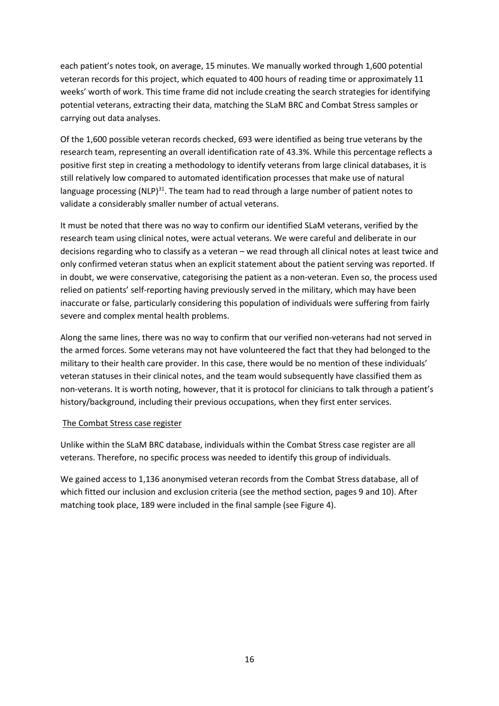each patient's notes took, on average, 15 minutes. We manually worked through 1,600 potential veteran records for this project, which equated to 400 hours of reading time or approximately 11 weeks' worth of work. This time frame did not include creating the search strategies for identifying potential veterans, extracting their data, matching the SLaM BRC and Combat Stress samples or carrying out data analyses.

Of the 1,600 possible veteran records checked, 693 were identified as being true veterans by the research team, representing an overall identification rate of 43.3%. While this percentage reflects a positive first step in creating a methodology to identify veterans from large clinical databases, it is still relatively low compared to automated identification processes that make use of natural language processing (NLP)<sup>31</sup>. The team had to read through a large number of patient notes to validate a considerably smaller number of actual veterans.

It must be noted that there was no way to confirm our identified SLaM veterans, verified by the research team using clinical notes, were actual veterans. We were careful and deliberate in our decisions regarding who to classify as a veteran – we read through all clinical notes at least twice and only confirmed veteran status when an explicit statement about the patient serving was reported. If in doubt, we were conservative, categorising the patient as a non-veteran. Even so, the process used relied on patients' self-reporting having previously served in the military, which may have been inaccurate or false, particularly considering this population of individuals were suffering from fairly severe and complex mental health problems.

Along the same lines, there was no way to confirm that our verified non-veterans had not served in the armed forces. Some veterans may not have volunteered the fact that they had belonged to the military to their health care provider. In this case, there would be no mention of these individuals' veteran statuses in their clinical notes, and the team would subsequently have classified them as non-veterans. It is worth noting, however, that it is protocol for clinicians to talk through a patient's history/background, including their previous occupations, when they first enter services.

#### The Combat Stress case register

Unlike within the SLaM BRC database, individuals within the Combat Stress case register are all veterans. Therefore, no specific process was needed to identify this group of individuals.

We gained access to 1,136 anonymised veteran records from the Combat Stress database, all of which fitted our inclusion and exclusion criteria (see the method section, pages 9 and 10). After matching took place, 189 were included in the final sample (see Figure 4).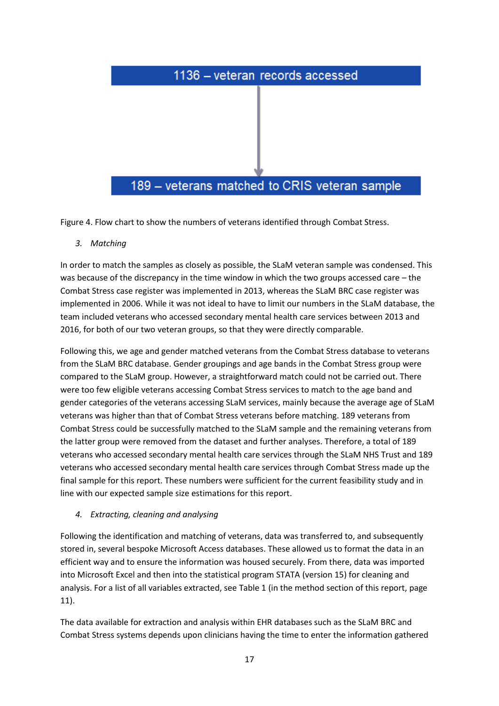

Figure 4. Flow chart to show the numbers of veterans identified through Combat Stress.

*3. Matching*

In order to match the samples as closely as possible, the SLaM veteran sample was condensed. This was because of the discrepancy in the time window in which the two groups accessed care – the Combat Stress case register was implemented in 2013, whereas the SLaM BRC case register was implemented in 2006. While it was not ideal to have to limit our numbers in the SLaM database, the team included veterans who accessed secondary mental health care services between 2013 and 2016, for both of our two veteran groups, so that they were directly comparable.

Following this, we age and gender matched veterans from the Combat Stress database to veterans from the SLaM BRC database. Gender groupings and age bands in the Combat Stress group were compared to the SLaM group. However, a straightforward match could not be carried out. There were too few eligible veterans accessing Combat Stress services to match to the age band and gender categories of the veterans accessing SLaM services, mainly because the average age of SLaM veterans was higher than that of Combat Stress veterans before matching. 189 veterans from Combat Stress could be successfully matched to the SLaM sample and the remaining veterans from the latter group were removed from the dataset and further analyses. Therefore, a total of 189 veterans who accessed secondary mental health care services through the SLaM NHS Trust and 189 veterans who accessed secondary mental health care services through Combat Stress made up the final sample for this report. These numbers were sufficient for the current feasibility study and in line with our expected sample size estimations for this report.

# *4. Extracting, cleaning and analysing*

Following the identification and matching of veterans, data was transferred to, and subsequently stored in, several bespoke Microsoft Access databases. These allowed us to format the data in an efficient way and to ensure the information was housed securely. From there, data was imported into Microsoft Excel and then into the statistical program STATA (version 15) for cleaning and analysis. For a list of all variables extracted, see Table 1 (in the method section of this report, page 11).

The data available for extraction and analysis within EHR databases such as the SLaM BRC and Combat Stress systems depends upon clinicians having the time to enter the information gathered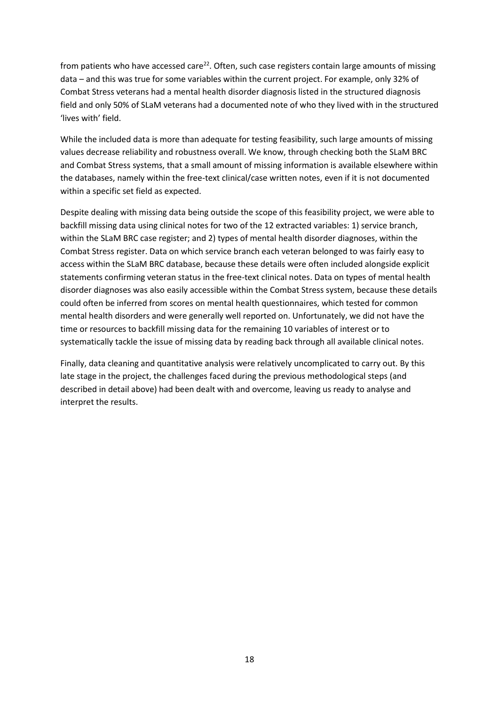from patients who have accessed care<sup>22</sup>. Often, such case registers contain large amounts of missing data – and this was true for some variables within the current project. For example, only 32% of Combat Stress veterans had a mental health disorder diagnosis listed in the structured diagnosis field and only 50% of SLaM veterans had a documented note of who they lived with in the structured 'lives with' field.

While the included data is more than adequate for testing feasibility, such large amounts of missing values decrease reliability and robustness overall. We know, through checking both the SLaM BRC and Combat Stress systems, that a small amount of missing information is available elsewhere within the databases, namely within the free-text clinical/case written notes, even if it is not documented within a specific set field as expected.

Despite dealing with missing data being outside the scope of this feasibility project, we were able to backfill missing data using clinical notes for two of the 12 extracted variables: 1) service branch, within the SLaM BRC case register; and 2) types of mental health disorder diagnoses, within the Combat Stress register. Data on which service branch each veteran belonged to was fairly easy to access within the SLaM BRC database, because these details were often included alongside explicit statements confirming veteran status in the free-text clinical notes. Data on types of mental health disorder diagnoses was also easily accessible within the Combat Stress system, because these details could often be inferred from scores on mental health questionnaires, which tested for common mental health disorders and were generally well reported on. Unfortunately, we did not have the time or resources to backfill missing data for the remaining 10 variables of interest or to systematically tackle the issue of missing data by reading back through all available clinical notes.

Finally, data cleaning and quantitative analysis were relatively uncomplicated to carry out. By this late stage in the project, the challenges faced during the previous methodological steps (and described in detail above) had been dealt with and overcome, leaving us ready to analyse and interpret the results.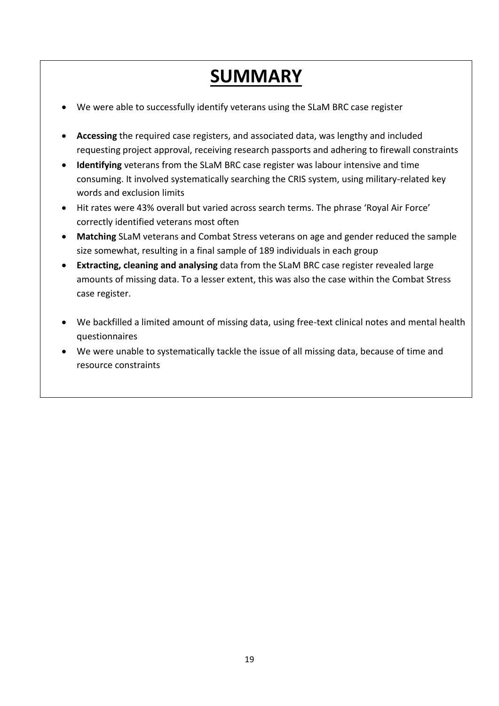# **SUMMARY**

- We were able to successfully identify veterans using the SLaM BRC case register
- **Accessing** the required case registers, and associated data, was lengthy and included requesting project approval, receiving research passports and adhering to firewall constraints
- **Identifying** veterans from the SLaM BRC case register was labour intensive and time consuming. It involved systematically searching the CRIS system, using military-related key words and exclusion limits
- Hit rates were 43% overall but varied across search terms. The phrase 'Royal Air Force' correctly identified veterans most often
- **Matching** SLaM veterans and Combat Stress veterans on age and gender reduced the sample size somewhat, resulting in a final sample of 189 individuals in each group
- **Extracting, cleaning and analysing** data from the SLaM BRC case register revealed large amounts of missing data. To a lesser extent, this was also the case within the Combat Stress case register.
- We backfilled a limited amount of missing data, using free-text clinical notes and mental health questionnaires
- We were unable to systematically tackle the issue of all missing data, because of time and resource constraints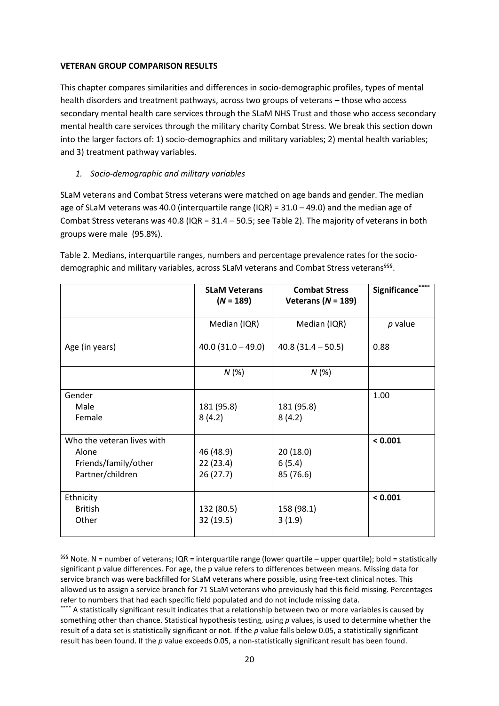#### **VETERAN GROUP COMPARISON RESULTS**

This chapter compares similarities and differences in socio-demographic profiles, types of mental health disorders and treatment pathways, across two groups of veterans – those who access secondary mental health care services through the SLaM NHS Trust and those who access secondary mental health care services through the military charity Combat Stress. We break this section down into the larger factors of: 1) socio-demographics and military variables; 2) mental health variables; and 3) treatment pathway variables.

# *1. Socio-demographic and military variables*

 $\overline{a}$ 

SLaM veterans and Combat Stress veterans were matched on age bands and gender. The median age of SLaM veterans was 40.0 (interquartile range (IQR) = 31.0 – 49.0) and the median age of Combat Stress veterans was 40.8 (IQR = 31.4 – 50.5; see Table 2). The majority of veterans in both groups were male (95.8%).

|                            | <b>SLaM Veterans</b><br>$(N = 189)$ | <b>Combat Stress</b><br>Veterans ( $N = 189$ ) | Significance <sup>®</sup> |
|----------------------------|-------------------------------------|------------------------------------------------|---------------------------|
|                            | Median (IQR)                        | Median (IQR)                                   | p value                   |
| Age (in years)             | $40.0(31.0 - 49.0)$                 | $40.8(31.4 - 50.5)$                            | 0.88                      |
|                            | N(%)                                | N(%)                                           |                           |
| Gender                     |                                     |                                                | 1.00                      |
| Male                       | 181 (95.8)                          | 181 (95.8)                                     |                           |
| Female                     | 8(4.2)                              | 8(4.2)                                         |                           |
| Who the veteran lives with |                                     |                                                | < 0.001                   |
| Alone                      | 46 (48.9)                           | 20(18.0)                                       |                           |
| Friends/family/other       | 22(23.4)                            | 6(5.4)                                         |                           |
| Partner/children           | 26(27.7)                            | 85 (76.6)                                      |                           |
| Ethnicity                  |                                     |                                                | < 0.001                   |
| <b>British</b>             | 132 (80.5)                          | 158 (98.1)                                     |                           |
| Other                      | 32 (19.5)                           | 3(1.9)                                         |                           |

Table 2. Medians, interquartile ranges, numbers and percentage prevalence rates for the sociodemographic and military variables, across SLaM veterans and Combat Stress veterans<sup>§§§</sup>.

 $$^{555}$  Note. N = number of veterans; IQR = interquartile range (lower quartile – upper quartile); bold = statistically significant p value differences. For age, the p value refers to differences between means. Missing data for service branch was were backfilled for SLaM veterans where possible, using free-text clinical notes. This allowed us to assign a service branch for 71 SLaM veterans who previously had this field missing. Percentages refer to numbers that had each specific field populated and do not include missing data.

<sup>\*\*\*\*</sup> A statistically significant result indicates that a relationship between two or more variables is caused by something other than chance. Statistical hypothesis testing, using *p* values, is used to determine whether the result of a data set is statistically significant or not. If the *p* value falls below 0.05, a statistically significant result has been found. If the *p* value exceeds 0.05, a non-statistically significant result has been found.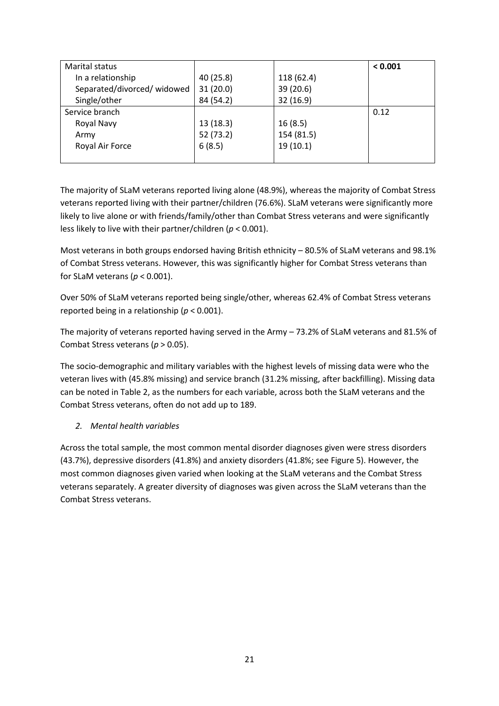| <b>Marital status</b>      |           |            | < 0.001 |
|----------------------------|-----------|------------|---------|
| In a relationship          | 40 (25.8) | 118 (62.4) |         |
| Separated/divorced/widowed | 31(20.0)  | 39 (20.6)  |         |
| Single/other               | 84 (54.2) | 32(16.9)   |         |
| Service branch             |           |            | 0.12    |
| Royal Navy                 | 13(18.3)  | 16(8.5)    |         |
| Army                       | 52 (73.2) | 154 (81.5) |         |
| Royal Air Force            | 6(8.5)    | 19(10.1)   |         |
|                            |           |            |         |

The majority of SLaM veterans reported living alone (48.9%), whereas the majority of Combat Stress veterans reported living with their partner/children (76.6%). SLaM veterans were significantly more likely to live alone or with friends/family/other than Combat Stress veterans and were significantly less likely to live with their partner/children (*p* < 0.001).

Most veterans in both groups endorsed having British ethnicity – 80.5% of SLaM veterans and 98.1% of Combat Stress veterans. However, this was significantly higher for Combat Stress veterans than for SLaM veterans (*p* < 0.001).

Over 50% of SLaM veterans reported being single/other, whereas 62.4% of Combat Stress veterans reported being in a relationship (*p* < 0.001).

The majority of veterans reported having served in the Army – 73.2% of SLaM veterans and 81.5% of Combat Stress veterans (*p* > 0.05).

The socio-demographic and military variables with the highest levels of missing data were who the veteran lives with (45.8% missing) and service branch (31.2% missing, after backfilling). Missing data can be noted in Table 2, as the numbers for each variable, across both the SLaM veterans and the Combat Stress veterans, often do not add up to 189.

# *2. Mental health variables*

Across the total sample, the most common mental disorder diagnoses given were stress disorders (43.7%), depressive disorders (41.8%) and anxiety disorders (41.8%; see Figure 5). However, the most common diagnoses given varied when looking at the SLaM veterans and the Combat Stress veterans separately. A greater diversity of diagnoses was given across the SLaM veterans than the Combat Stress veterans.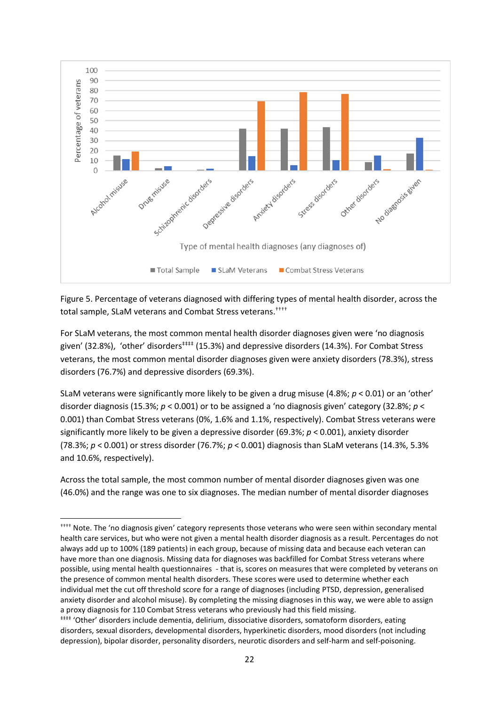

Figure 5. Percentage of veterans diagnosed with differing types of mental health disorder, across the total sample, SLaM veterans and Combat Stress veterans.<sup>††††</sup>

For SLaM veterans, the most common mental health disorder diagnoses given were 'no diagnosis given' (32.8%), 'other' disorders<sup>###</sup> (15.3%) and depressive disorders (14.3%). For Combat Stress veterans, the most common mental disorder diagnoses given were anxiety disorders (78.3%), stress disorders (76.7%) and depressive disorders (69.3%).

SLaM veterans were significantly more likely to be given a drug misuse (4.8%; *p* < 0.01) or an 'other' disorder diagnosis (15.3%; *p* < 0.001) or to be assigned a 'no diagnosis given' category (32.8%; *p* < 0.001) than Combat Stress veterans (0%, 1.6% and 1.1%, respectively). Combat Stress veterans were significantly more likely to be given a depressive disorder (69.3%; *p* < 0.001), anxiety disorder (78.3%; *p* < 0.001) or stress disorder (76.7%; *p* < 0.001) diagnosis than SLaM veterans (14.3%, 5.3% and 10.6%, respectively).

Across the total sample, the most common number of mental disorder diagnoses given was one (46.0%) and the range was one to six diagnoses. The median number of mental disorder diagnoses

**.** 

<sup>††††</sup> Note. The 'no diagnosis given' category represents those veterans who were seen within secondary mental health care services, but who were not given a mental health disorder diagnosis as a result. Percentages do not always add up to 100% (189 patients) in each group, because of missing data and because each veteran can have more than one diagnosis. Missing data for diagnoses was backfilled for Combat Stress veterans where possible, using mental health questionnaires - that is, scores on measures that were completed by veterans on the presence of common mental health disorders. These scores were used to determine whether each individual met the cut off threshold score for a range of diagnoses (including PTSD, depression, generalised anxiety disorder and alcohol misuse). By completing the missing diagnoses in this way, we were able to assign a proxy diagnosis for 110 Combat Stress veterans who previously had this field missing.

<sup>‡‡‡‡</sup> 'Other' disorders include dementia, delirium, dissociative disorders, somatoform disorders, eating disorders, sexual disorders, developmental disorders, hyperkinetic disorders, mood disorders (not including depression), bipolar disorder, personality disorders, neurotic disorders and self-harm and self-poisoning.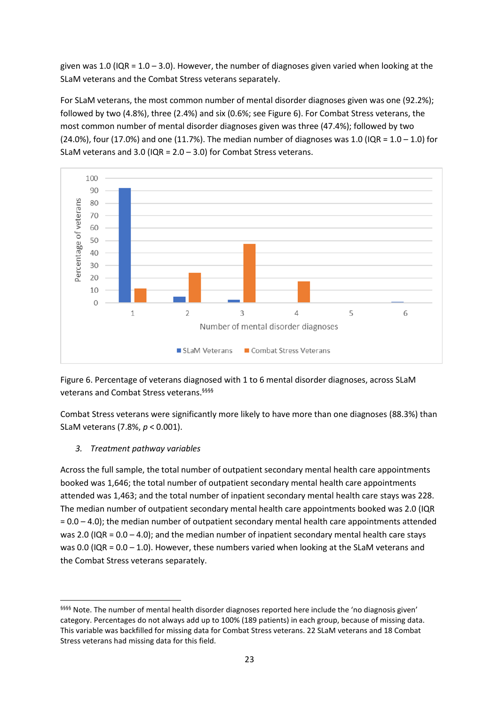given was 1.0 (IQR =  $1.0 - 3.0$ ). However, the number of diagnoses given varied when looking at the SLaM veterans and the Combat Stress veterans separately.

For SLaM veterans, the most common number of mental disorder diagnoses given was one (92.2%); followed by two (4.8%), three (2.4%) and six (0.6%; see Figure 6). For Combat Stress veterans, the most common number of mental disorder diagnoses given was three (47.4%); followed by two (24.0%), four (17.0%) and one (11.7%). The median number of diagnoses was 1.0 ( $IQR = 1.0 - 1.0$ ) for SLaM veterans and 3.0 (IQR =  $2.0 - 3.0$ ) for Combat Stress veterans.



Figure 6. Percentage of veterans diagnosed with 1 to 6 mental disorder diagnoses, across SLaM veterans and Combat Stress veterans. §§§§

Combat Stress veterans were significantly more likely to have more than one diagnoses (88.3%) than SLaM veterans (7.8%, *p* < 0.001).

# *3. Treatment pathway variables*

1

Across the full sample, the total number of outpatient secondary mental health care appointments booked was 1,646; the total number of outpatient secondary mental health care appointments attended was 1,463; and the total number of inpatient secondary mental health care stays was 228. The median number of outpatient secondary mental health care appointments booked was 2.0 (IQR  $= 0.0 - 4.0$ ; the median number of outpatient secondary mental health care appointments attended was 2.0 (IQR =  $0.0 - 4.0$ ); and the median number of inpatient secondary mental health care stays was 0.0 (IQR =  $0.0 - 1.0$ ). However, these numbers varied when looking at the SLaM veterans and the Combat Stress veterans separately.

<sup>§§§§§</sup> Note. The number of mental health disorder diagnoses reported here include the 'no diagnosis given' category. Percentages do not always add up to 100% (189 patients) in each group, because of missing data. This variable was backfilled for missing data for Combat Stress veterans. 22 SLaM veterans and 18 Combat Stress veterans had missing data for this field.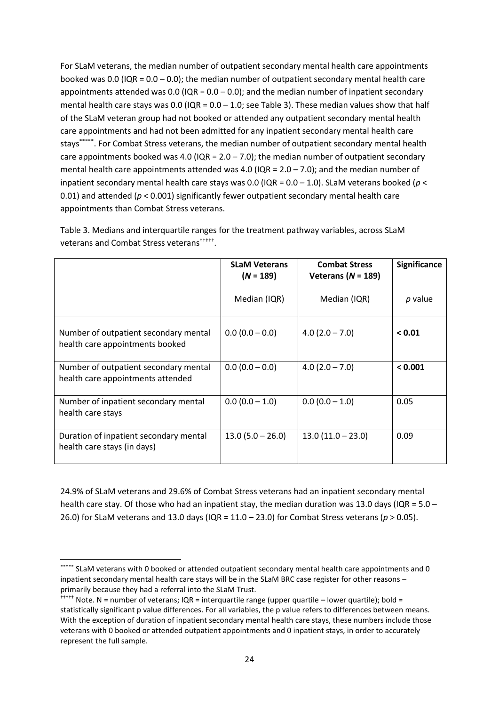For SLaM veterans, the median number of outpatient secondary mental health care appointments booked was 0.0 (IQR =  $0.0 - 0.0$ ); the median number of outpatient secondary mental health care appointments attended was 0.0 (IQR =  $0.0 - 0.0$ ); and the median number of inpatient secondary mental health care stays was 0.0 (IQR =  $0.0 - 1.0$ ; see Table 3). These median values show that half of the SLaM veteran group had not booked or attended any outpatient secondary mental health care appointments and had not been admitted for any inpatient secondary mental health care stays\*\*\*\*\* . For Combat Stress veterans, the median number of outpatient secondary mental health care appointments booked was 4.0 ( $IQR = 2.0 - 7.0$ ); the median number of outpatient secondary mental health care appointments attended was 4.0 (IQR =  $2.0 - 7.0$ ); and the median number of inpatient secondary mental health care stays was 0.0 (IQR = 0.0 – 1.0). SLaM veterans booked (*p* < 0.01) and attended (*p* < 0.001) significantly fewer outpatient secondary mental health care appointments than Combat Stress veterans.

|                                                                            | <b>SLaM Veterans</b><br>$(N = 189)$ | <b>Combat Stress</b><br>Veterans ( $N = 189$ ) | <b>Significance</b> |
|----------------------------------------------------------------------------|-------------------------------------|------------------------------------------------|---------------------|
|                                                                            | Median (IQR)                        | Median (IQR)                                   | p value             |
| Number of outpatient secondary mental<br>health care appointments booked   | $0.0(0.0 - 0.0)$                    | $4.0(2.0 - 7.0)$                               | < 0.01              |
| Number of outpatient secondary mental<br>health care appointments attended | $0.0(0.0 - 0.0)$                    | $4.0(2.0 - 7.0)$                               | < 0.001             |
| Number of inpatient secondary mental<br>health care stays                  | $0.0(0.0 - 1.0)$                    | $0.0(0.0 - 1.0)$                               | 0.05                |
| Duration of inpatient secondary mental<br>health care stays (in days)      | $13.0(5.0 - 26.0)$                  | $13.0(11.0 - 23.0)$                            | 0.09                |

Table 3. Medians and interquartile ranges for the treatment pathway variables, across SLaM veterans and Combat Stress veterans††††† .

24.9% of SLaM veterans and 29.6% of Combat Stress veterans had an inpatient secondary mental health care stay. Of those who had an inpatient stay, the median duration was 13.0 days (IQR = 5.0 – 26.0) for SLaM veterans and 13.0 days (IQR = 11.0 – 23.0) for Combat Stress veterans (*p* > 0.05).

1

<sup>\*\*\*\*\*</sup> SLaM veterans with 0 booked or attended outpatient secondary mental health care appointments and 0 inpatient secondary mental health care stays will be in the SLaM BRC case register for other reasons – primarily because they had a referral into the SLaM Trust.

<sup>&</sup>lt;sup>†</sup>†††† Note. N = number of veterans; IQR = interquartile range (upper quartile – lower quartile); bold = statistically significant p value differences. For all variables, the p value refers to differences between means. With the exception of duration of inpatient secondary mental health care stays, these numbers include those veterans with 0 booked or attended outpatient appointments and 0 inpatient stays, in order to accurately represent the full sample.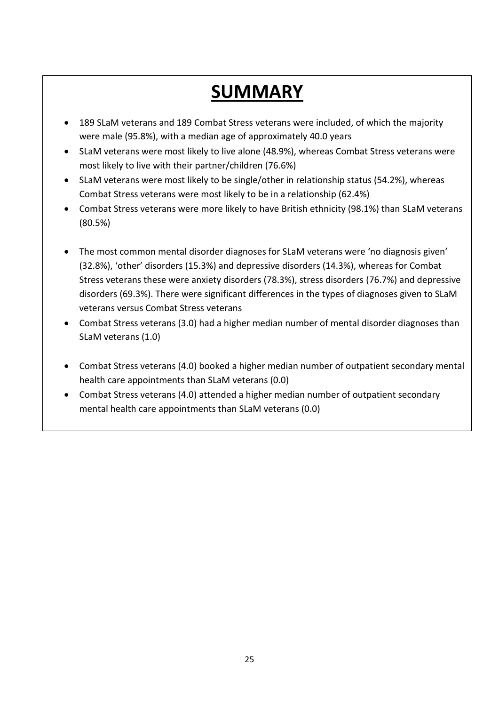# **SUMMARY**

- 189 SLaM veterans and 189 Combat Stress veterans were included, of which the majority were male (95.8%), with a median age of approximately 40.0 years
- SLaM veterans were most likely to live alone (48.9%), whereas Combat Stress veterans were most likely to live with their partner/children (76.6%)
- SLaM veterans were most likely to be single/other in relationship status (54.2%), whereas Combat Stress veterans were most likely to be in a relationship (62.4%)
- Combat Stress veterans were more likely to have British ethnicity (98.1%) than SLaM veterans (80.5%)
- The most common mental disorder diagnoses for SLaM veterans were 'no diagnosis given' (32.8%), 'other' disorders (15.3%) and depressive disorders (14.3%), whereas for Combat Stress veterans these were anxiety disorders (78.3%), stress disorders (76.7%) and depressive disorders (69.3%). There were significant differences in the types of diagnoses given to SLaM veterans versus Combat Stress veterans
- Combat Stress veterans (3.0) had a higher median number of mental disorder diagnoses than SLaM veterans (1.0)
- Combat Stress veterans (4.0) booked a higher median number of outpatient secondary mental health care appointments than SLaM veterans (0.0)
- Combat Stress veterans (4.0) attended a higher median number of outpatient secondary mental health care appointments than SLaM veterans (0.0)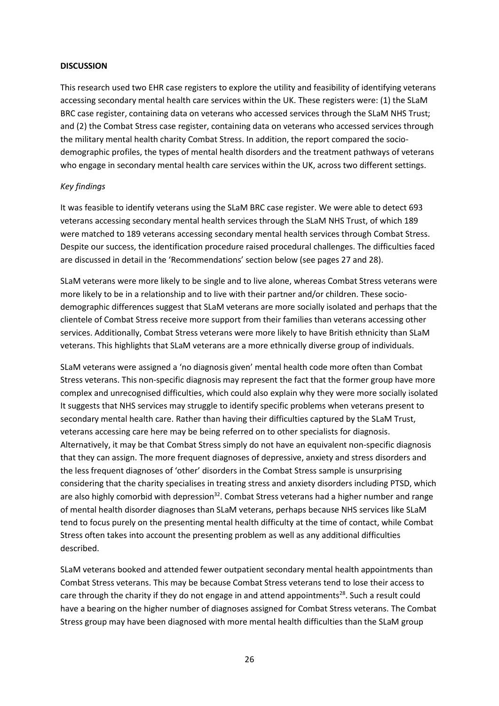#### **DISCUSSION**

This research used two EHR case registers to explore the utility and feasibility of identifying veterans accessing secondary mental health care services within the UK. These registers were: (1) the SLaM BRC case register, containing data on veterans who accessed services through the SLaM NHS Trust; and (2) the Combat Stress case register, containing data on veterans who accessed services through the military mental health charity Combat Stress. In addition, the report compared the sociodemographic profiles, the types of mental health disorders and the treatment pathways of veterans who engage in secondary mental health care services within the UK, across two different settings.

#### *Key findings*

It was feasible to identify veterans using the SLaM BRC case register. We were able to detect 693 veterans accessing secondary mental health services through the SLaM NHS Trust, of which 189 were matched to 189 veterans accessing secondary mental health services through Combat Stress. Despite our success, the identification procedure raised procedural challenges. The difficulties faced are discussed in detail in the 'Recommendations' section below (see pages 27 and 28).

SLaM veterans were more likely to be single and to live alone, whereas Combat Stress veterans were more likely to be in a relationship and to live with their partner and/or children. These sociodemographic differences suggest that SLaM veterans are more socially isolated and perhaps that the clientele of Combat Stress receive more support from their families than veterans accessing other services. Additionally, Combat Stress veterans were more likely to have British ethnicity than SLaM veterans. This highlights that SLaM veterans are a more ethnically diverse group of individuals.

SLaM veterans were assigned a 'no diagnosis given' mental health code more often than Combat Stress veterans. This non-specific diagnosis may represent the fact that the former group have more complex and unrecognised difficulties, which could also explain why they were more socially isolated It suggests that NHS services may struggle to identify specific problems when veterans present to secondary mental health care. Rather than having their difficulties captured by the SLaM Trust, veterans accessing care here may be being referred on to other specialists for diagnosis. Alternatively, it may be that Combat Stress simply do not have an equivalent non-specific diagnosis that they can assign. The more frequent diagnoses of depressive, anxiety and stress disorders and the less frequent diagnoses of 'other' disorders in the Combat Stress sample is unsurprising considering that the charity specialises in treating stress and anxiety disorders including PTSD, which are also highly comorbid with depression<sup>32</sup>. Combat Stress veterans had a higher number and range of mental health disorder diagnoses than SLaM veterans, perhaps because NHS services like SLaM tend to focus purely on the presenting mental health difficulty at the time of contact, while Combat Stress often takes into account the presenting problem as well as any additional difficulties described.

SLaM veterans booked and attended fewer outpatient secondary mental health appointments than Combat Stress veterans. This may be because Combat Stress veterans tend to lose their access to care through the charity if they do not engage in and attend appointments<sup>28</sup>. Such a result could have a bearing on the higher number of diagnoses assigned for Combat Stress veterans. The Combat Stress group may have been diagnosed with more mental health difficulties than the SLaM group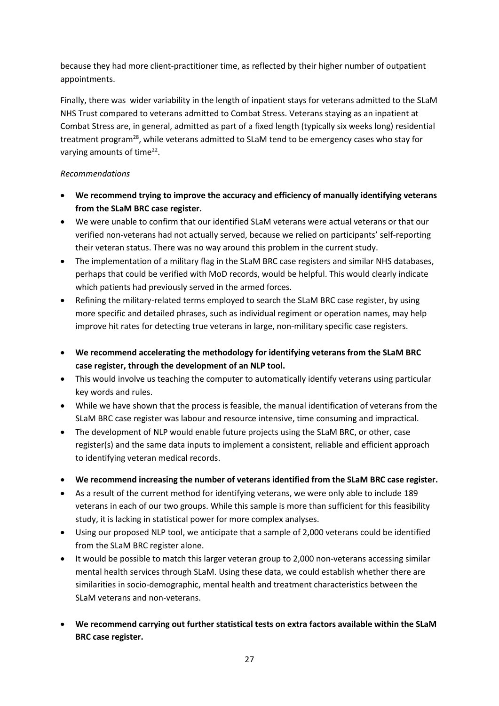because they had more client-practitioner time, as reflected by their higher number of outpatient appointments.

Finally, there was wider variability in the length of inpatient stays for veterans admitted to the SLaM NHS Trust compared to veterans admitted to Combat Stress. Veterans staying as an inpatient at Combat Stress are, in general, admitted as part of a fixed length (typically six weeks long) residential treatment program<sup>28</sup>, while veterans admitted to SLaM tend to be emergency cases who stay for varying amounts of time<sup>22</sup>.

# *Recommendations*

- **We recommend trying to improve the accuracy and efficiency of manually identifying veterans from the SLaM BRC case register.**
- We were unable to confirm that our identified SLaM veterans were actual veterans or that our verified non-veterans had not actually served, because we relied on participants' self-reporting their veteran status. There was no way around this problem in the current study.
- The implementation of a military flag in the SLaM BRC case registers and similar NHS databases, perhaps that could be verified with MoD records, would be helpful. This would clearly indicate which patients had previously served in the armed forces.
- Refining the military-related terms employed to search the SLaM BRC case register, by using more specific and detailed phrases, such as individual regiment or operation names, may help improve hit rates for detecting true veterans in large, non-military specific case registers.
- **We recommend accelerating the methodology for identifying veterans from the SLaM BRC case register, through the development of an NLP tool.**
- This would involve us teaching the computer to automatically identify veterans using particular key words and rules.
- While we have shown that the process is feasible, the manual identification of veterans from the SLaM BRC case register was labour and resource intensive, time consuming and impractical.
- The development of NLP would enable future projects using the SLaM BRC, or other, case register(s) and the same data inputs to implement a consistent, reliable and efficient approach to identifying veteran medical records.
- **We recommend increasing the number of veterans identified from the SLaM BRC case register.**
- As a result of the current method for identifying veterans, we were only able to include 189 veterans in each of our two groups. While this sample is more than sufficient for this feasibility study, it is lacking in statistical power for more complex analyses.
- Using our proposed NLP tool, we anticipate that a sample of 2,000 veterans could be identified from the SLaM BRC register alone.
- It would be possible to match this larger veteran group to 2,000 non-veterans accessing similar mental health services through SLaM. Using these data, we could establish whether there are similarities in socio-demographic, mental health and treatment characteristics between the SLaM veterans and non-veterans.
- **We recommend carrying out further statistical tests on extra factors available within the SLaM BRC case register.**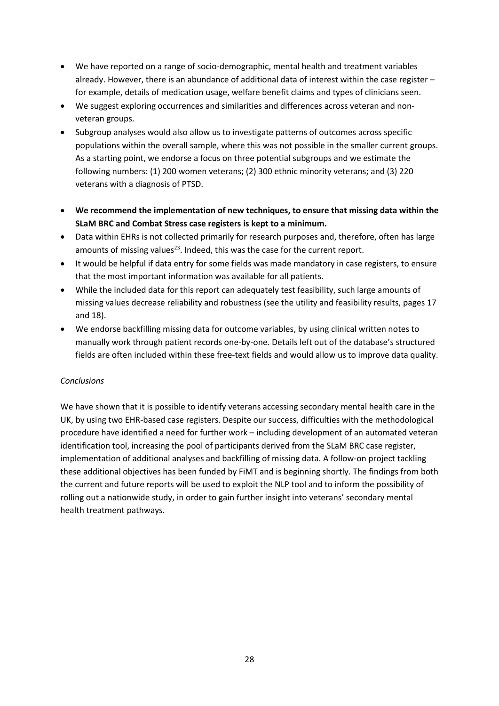- We have reported on a range of socio-demographic, mental health and treatment variables already. However, there is an abundance of additional data of interest within the case register – for example, details of medication usage, welfare benefit claims and types of clinicians seen.
- We suggest exploring occurrences and similarities and differences across veteran and nonveteran groups.
- Subgroup analyses would also allow us to investigate patterns of outcomes across specific populations within the overall sample, where this was not possible in the smaller current groups. As a starting point, we endorse a focus on three potential subgroups and we estimate the following numbers: (1) 200 women veterans; (2) 300 ethnic minority veterans; and (3) 220 veterans with a diagnosis of PTSD.
- **We recommend the implementation of new techniques, to ensure that missing data within the SLaM BRC and Combat Stress case registers is kept to a minimum.**
- Data within EHRs is not collected primarily for research purposes and, therefore, often has large amounts of missing values<sup>23</sup>. Indeed, this was the case for the current report.
- It would be helpful if data entry for some fields was made mandatory in case registers, to ensure that the most important information was available for all patients.
- While the included data for this report can adequately test feasibility, such large amounts of missing values decrease reliability and robustness (see the utility and feasibility results, pages 17 and 18).
- We endorse backfilling missing data for outcome variables, by using clinical written notes to manually work through patient records one-by-one. Details left out of the database's structured fields are often included within these free-text fields and would allow us to improve data quality.

# *Conclusions*

We have shown that it is possible to identify veterans accessing secondary mental health care in the UK, by using two EHR-based case registers. Despite our success, difficulties with the methodological procedure have identified a need for further work – including development of an automated veteran identification tool, increasing the pool of participants derived from the SLaM BRC case register, implementation of additional analyses and backfilling of missing data. A follow-on project tackling these additional objectives has been funded by FiMT and is beginning shortly. The findings from both the current and future reports will be used to exploit the NLP tool and to inform the possibility of rolling out a nationwide study, in order to gain further insight into veterans' secondary mental health treatment pathways.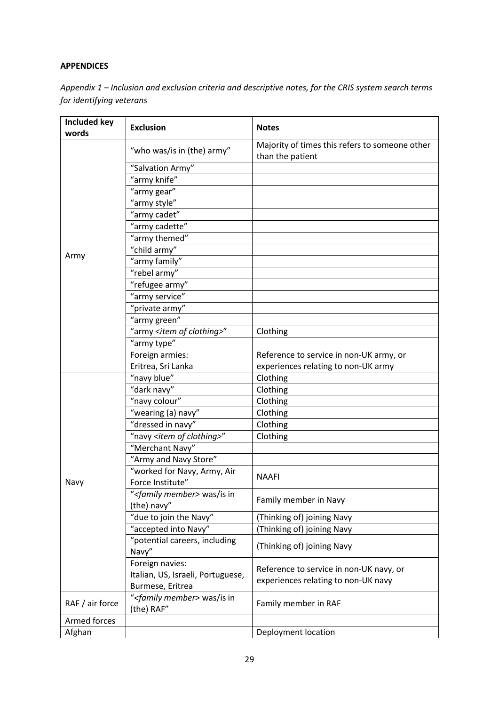# **APPENDICES**

| Appendix $1$ – Inclusion and exclusion criteria and descriptive notes, for the CRIS system search terms |
|---------------------------------------------------------------------------------------------------------|
| for identifying veterans                                                                                |

| <b>Included key</b><br>words | <b>Exclusion</b>                                                         | <b>Notes</b>                                                                   |
|------------------------------|--------------------------------------------------------------------------|--------------------------------------------------------------------------------|
|                              | "who was/is in (the) army"                                               | Majority of times this refers to someone other<br>than the patient             |
|                              | "Salvation Army"                                                         |                                                                                |
|                              | "army knife"                                                             |                                                                                |
|                              | "army gear"                                                              |                                                                                |
|                              | "army style"                                                             |                                                                                |
|                              | "army cadet"                                                             |                                                                                |
|                              | "army cadette"                                                           |                                                                                |
|                              | "army themed"                                                            |                                                                                |
|                              | "child army"                                                             |                                                                                |
| Army                         | "army family"                                                            |                                                                                |
|                              | "rebel army"                                                             |                                                                                |
|                              | "refugee army"                                                           |                                                                                |
|                              | "army service"                                                           |                                                                                |
|                              | "private army"                                                           |                                                                                |
|                              | "army green"                                                             |                                                                                |
|                              | "army <item clothing="" of="">"</item>                                   | Clothing                                                                       |
|                              | "army type"                                                              |                                                                                |
|                              | Foreign armies:                                                          | Reference to service in non-UK army, or                                        |
|                              | Eritrea, Sri Lanka                                                       | experiences relating to non-UK army                                            |
|                              | "navy blue"                                                              | Clothing                                                                       |
|                              | "dark navy"                                                              | Clothing                                                                       |
|                              | "navy colour"                                                            | Clothing                                                                       |
|                              | "wearing (a) navy"                                                       | Clothing                                                                       |
|                              | "dressed in navy"                                                        | Clothing                                                                       |
|                              | "navy <item clothing="" of="">"</item>                                   | Clothing                                                                       |
|                              | "Merchant Navy"                                                          |                                                                                |
|                              | "Army and Navy Store"                                                    |                                                                                |
| Navy                         | "worked for Navy, Army, Air<br>Force Institute"                          | <b>NAAFI</b>                                                                   |
|                              | <i>"<family member=""></family></i> was/is in<br>(the) navy"             | Family member in Navy                                                          |
|                              | "due to join the Navy"                                                   | (Thinking of) joining Navy                                                     |
|                              | "accepted into Navy"                                                     | (Thinking of) joining Navy                                                     |
|                              | "potential careers, including<br>Navy"                                   | (Thinking of) joining Navy                                                     |
|                              | Foreign navies:<br>Italian, US, Israeli, Portuguese,<br>Burmese, Eritrea | Reference to service in non-UK navy, or<br>experiences relating to non-UK navy |
| RAF / air force              | " <family member=""> was/is in<br/>(the) RAF"</family>                   | Family member in RAF                                                           |
| Armed forces                 |                                                                          |                                                                                |
| Afghan                       |                                                                          | Deployment location                                                            |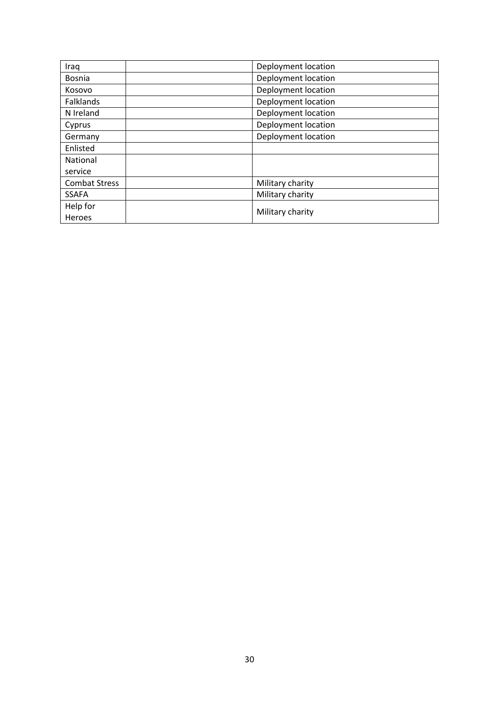| Iraq                 | Deployment location |
|----------------------|---------------------|
| <b>Bosnia</b>        | Deployment location |
| Kosovo               | Deployment location |
| Falklands            | Deployment location |
| N Ireland            | Deployment location |
| Cyprus               | Deployment location |
| Germany              | Deployment location |
| Enlisted             |                     |
| National             |                     |
| service              |                     |
| <b>Combat Stress</b> | Military charity    |
| <b>SSAFA</b>         | Military charity    |
| Help for             |                     |
| Heroes               | Military charity    |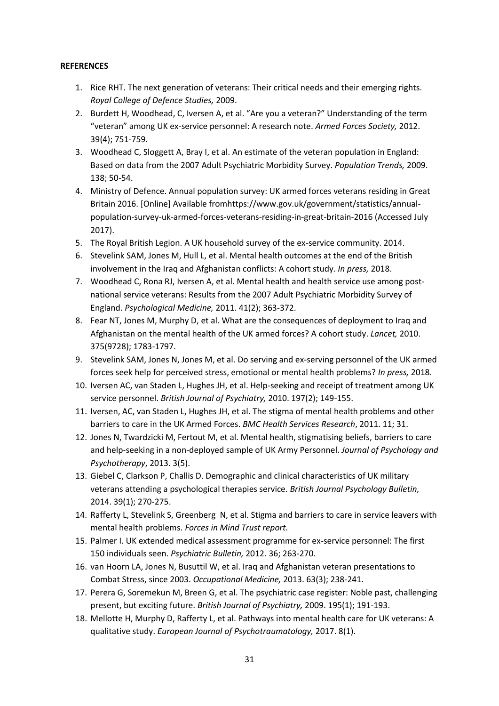#### **REFERENCES**

- 1. Rice RHT. The next generation of veterans: Their critical needs and their emerging rights. *Royal College of Defence Studies,* 2009.
- 2. Burdett H, Woodhead, C, Iversen A, et al. "Are you a veteran?" Understanding of the term "veteran" among UK ex-service personnel: A research note. *Armed Forces Society,* 2012. 39(4); 751-759.
- 3. Woodhead C, Sloggett A, Bray I, et al. An estimate of the veteran population in England: Based on data from the 2007 Adult Psychiatric Morbidity Survey. *Population Trends,* 2009. 138; 50-54.
- 4. Ministry of Defence. Annual population survey: UK armed forces veterans residing in Great Britain 2016. [Online] Available fromhttps://www.gov.uk/government/statistics/annualpopulation-survey-uk-armed-forces-veterans-residing-in-great-britain-2016 (Accessed July 2017).
- 5. The Royal British Legion. A UK household survey of the ex-service community. 2014.
- 6. Stevelink SAM, Jones M, Hull L, et al. Mental health outcomes at the end of the British involvement in the Iraq and Afghanistan conflicts: A cohort study. *In press,* 2018.
- 7. Woodhead C, Rona RJ, Iversen A, et al. Mental health and health service use among postnational service veterans: Results from the 2007 Adult Psychiatric Morbidity Survey of England. *Psychological Medicine,* 2011. 41(2); 363-372.
- 8. Fear NT, Jones M, Murphy D, et al. What are the consequences of deployment to Iraq and Afghanistan on the mental health of the UK armed forces? A cohort study. *Lancet,* 2010. 375(9728); 1783-1797.
- 9. Stevelink SAM, Jones N, Jones M, et al. Do serving and ex-serving personnel of the UK armed forces seek help for perceived stress, emotional or mental health problems? *In press,* 2018.
- 10. Iversen AC, van Staden L, Hughes JH, et al. Help-seeking and receipt of treatment among UK service personnel. *British Journal of Psychiatry,* 2010. 197(2); 149-155.
- 11. Iversen, AC, van Staden L, Hughes JH, et al. The stigma of mental health problems and other barriers to care in the UK Armed Forces. *BMC Health Services Research*, 2011. 11; 31.
- 12. Jones N, Twardzicki M, Fertout M, et al. Mental health, stigmatising beliefs, barriers to care and help-seeking in a non-deployed sample of UK Army Personnel. *Journal of Psychology and Psychotherapy*, 2013. 3(5).
- 13. Giebel C, Clarkson P, Challis D. Demographic and clinical characteristics of UK military veterans attending a psychological therapies service. *British Journal Psychology Bulletin,*  2014. 39(1); 270-275.
- 14. Rafferty L, Stevelink S, Greenberg N, et al. Stigma and barriers to care in service leavers with mental health problems. *Forces in Mind Trust report.*
- 15. Palmer I. UK extended medical assessment programme for ex-service personnel: The first 150 individuals seen. *Psychiatric Bulletin,* 2012. 36; 263-270.
- 16. van Hoorn LA, Jones N, Busuttil W, et al. Iraq and Afghanistan veteran presentations to Combat Stress, since 2003. *Occupational Medicine,* 2013. 63(3); 238-241.
- 17. Perera G, Soremekun M, Breen G, et al. The psychiatric case register: Noble past, challenging present, but exciting future. *British Journal of Psychiatry,* 2009. 195(1); 191-193.
- 18. Mellotte H, Murphy D, Rafferty L, et al. Pathways into mental health care for UK veterans: A qualitative study. *European Journal of Psychotraumatology,* 2017. 8(1).